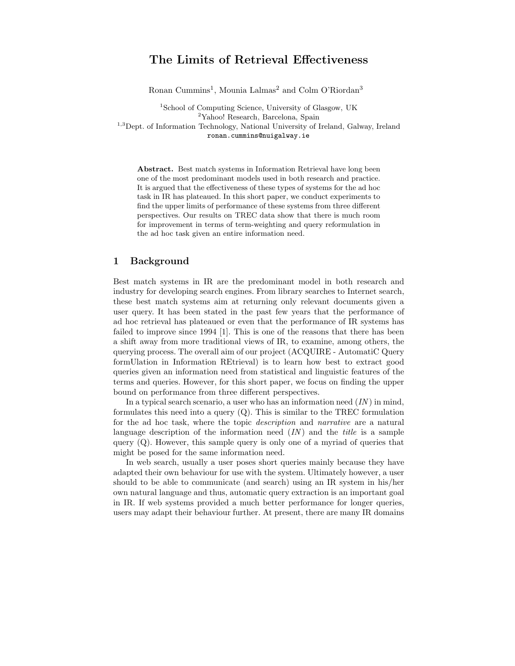# The Limits of Retrieval Effectiveness

Ronan Cummins<sup>1</sup>, Mounia Lalmas<sup>2</sup> and Colm O'Riordan<sup>3</sup>

<sup>1</sup>School of Computing Science, University of Glasgow, UK <sup>2</sup>Yahoo! Research, Barcelona, Spain <sup>1,3</sup>Dept. of Information Technology, National University of Ireland, Galway, Ireland ronan.cummins@nuigalway.ie

Abstract. Best match systems in Information Retrieval have long been one of the most predominant models used in both research and practice. It is argued that the effectiveness of these types of systems for the ad hoc task in IR has plateaued. In this short paper, we conduct experiments to find the upper limits of performance of these systems from three different perspectives. Our results on TREC data show that there is much room for improvement in terms of term-weighting and query reformulation in the ad hoc task given an entire information need.

### 1 Background

Best match systems in IR are the predominant model in both research and industry for developing search engines. From library searches to Internet search, these best match systems aim at returning only relevant documents given a user query. It has been stated in the past few years that the performance of ad hoc retrieval has plateaued or even that the performance of IR systems has failed to improve since 1994 [1]. This is one of the reasons that there has been a shift away from more traditional views of IR, to examine, among others, the querying process. The overall aim of our project (ACQUIRE - AutomatiC Query formUlation in Information REtrieval) is to learn how best to extract good queries given an information need from statistical and linguistic features of the terms and queries. However, for this short paper, we focus on finding the upper bound on performance from three different perspectives.

In a typical search scenario, a user who has an information need  $(IN)$  in mind, formulates this need into a query (Q). This is similar to the TREC formulation for the ad hoc task, where the topic description and narrative are a natural language description of the information need  $(IN)$  and the *title* is a sample query  $(Q)$ . However, this sample query is only one of a myriad of queries that might be posed for the same information need.

In web search, usually a user poses short queries mainly because they have adapted their own behaviour for use with the system. Ultimately however, a user should to be able to communicate (and search) using an IR system in his/her own natural language and thus, automatic query extraction is an important goal in IR. If web systems provided a much better performance for longer queries, users may adapt their behaviour further. At present, there are many IR domains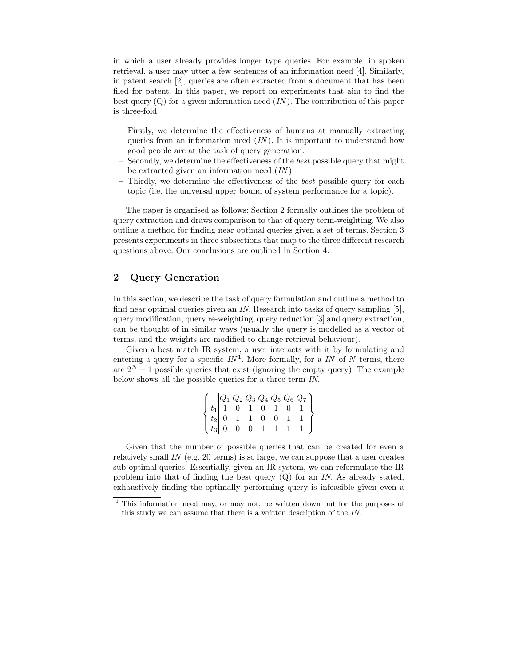in which a user already provides longer type queries. For example, in spoken retrieval, a user may utter a few sentences of an information need [4]. Similarly, in patent search [2], queries are often extracted from a document that has been filed for patent. In this paper, we report on experiments that aim to find the best query  $(Q)$  for a given information need  $(IN)$ . The contribution of this paper is three-fold:

- Firstly, we determine the effectiveness of humans at manually extracting queries from an information need  $(IN)$ . It is important to understand how good people are at the task of query generation.
- $-$  Secondly, we determine the effectiveness of the *best* possible query that might be extracted given an information need  $(IN)$ .
- $-$  Thirdly, we determine the effectiveness of the *best* possible query for each topic (i.e. the universal upper bound of system performance for a topic).

The paper is organised as follows: Section 2 formally outlines the problem of query extraction and draws comparison to that of query term-weighting. We also outline a method for finding near optimal queries given a set of terms. Section 3 presents experiments in three subsections that map to the three different research questions above. Our conclusions are outlined in Section 4.

# 2 Query Generation

In this section, we describe the task of query formulation and outline a method to find near optimal queries given an  $IN$ . Research into tasks of query sampling [5], query modification, query re-weighting, query reduction [3] and query extraction, can be thought of in similar ways (usually the query is modelled as a vector of terms, and the weights are modified to change retrieval behaviour).

Given a best match IR system, a user interacts with it by formulating and entering a query for a specific  $IN^1$ . More formally, for a IN of N terms, there are  $2^N - 1$  possible queries that exist (ignoring the empty query). The example below shows all the possible queries for a three term IN.

|  |  |                                                                                                            |  |     | $Q_1 Q_2 Q_3 Q_4 Q_5 Q_6 Q_7$ |  |
|--|--|------------------------------------------------------------------------------------------------------------|--|-----|-------------------------------|--|
|  |  |                                                                                                            |  |     | $1 \quad 0 \quad 1$           |  |
|  |  |                                                                                                            |  | -0- |                               |  |
|  |  | $\begin{cases}\n\overline{t_1} & 1 & 0 & 1 & 0 \\ t_2 & 0 & 1 & 1 & 0 \\ t_3 & 0 & 0 & 0 & 1\n\end{cases}$ |  |     |                               |  |

Given that the number of possible queries that can be created for even a relatively small IN (e.g. 20 terms) is so large, we can suppose that a user creates sub-optimal queries. Essentially, given an IR system, we can reformulate the IR problem into that of finding the best query  $(Q)$  for an IN. As already stated, exhaustively finding the optimally performing query is infeasible given even a

<sup>&</sup>lt;sup>1</sup> This information need may, or may not, be written down but for the purposes of this study we can assume that there is a written description of the IN.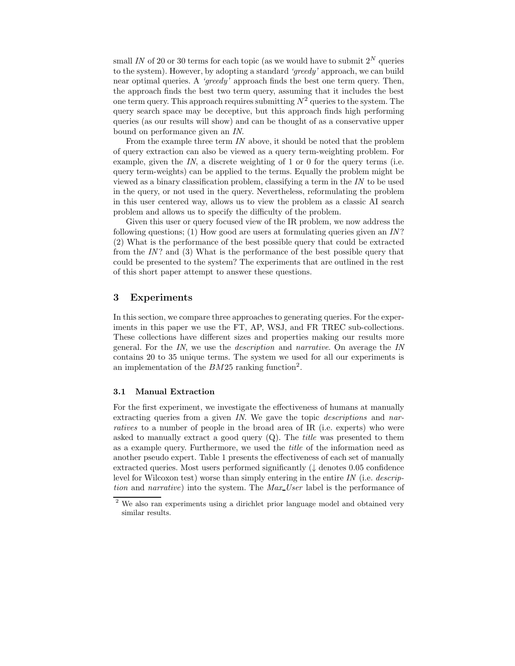small IN of 20 or 30 terms for each topic (as we would have to submit  $2^N$  queries to the system). However, by adopting a standard 'greedy' approach, we can build near optimal queries. A 'greedy' approach finds the best one term query. Then, the approach finds the best two term query, assuming that it includes the best one term query. This approach requires submitting  $N^2$  queries to the system. The query search space may be deceptive, but this approach finds high performing queries (as our results will show) and can be thought of as a conservative upper bound on performance given an IN.

From the example three term IN above, it should be noted that the problem of query extraction can also be viewed as a query term-weighting problem. For example, given the  $IN$ , a discrete weighting of 1 or 0 for the query terms (i.e. query term-weights) can be applied to the terms. Equally the problem might be viewed as a binary classification problem, classifying a term in the IN to be used in the query, or not used in the query. Nevertheless, reformulating the problem in this user centered way, allows us to view the problem as a classic AI search problem and allows us to specify the difficulty of the problem.

Given this user or query focused view of the IR problem, we now address the following questions; (1) How good are users at formulating queries given an  $IN$ ? (2) What is the performance of the best possible query that could be extracted from the  $IN$ ? and (3) What is the performance of the best possible query that could be presented to the system? The experiments that are outlined in the rest of this short paper attempt to answer these questions.

## 3 Experiments

In this section, we compare three approaches to generating queries. For the experiments in this paper we use the FT, AP, WSJ, and FR TREC sub-collections. These collections have different sizes and properties making our results more general. For the IN, we use the description and narrative. On average the IN contains 20 to 35 unique terms. The system we used for all our experiments is an implementation of the  $BM25$  ranking function<sup>2</sup>.

#### 3.1 Manual Extraction

For the first experiment, we investigate the effectiveness of humans at manually extracting queries from a given  $IN.$  We gave the topic *descriptions* and narratives to a number of people in the broad area of IR (i.e. experts) who were asked to manually extract a good query  $(Q)$ . The *title* was presented to them as a example query. Furthermore, we used the title of the information need as another pseudo expert. Table 1 presents the effectiveness of each set of manually extracted queries. Most users performed significantly  $(\downarrow$  denotes 0.05 confidence level for Wilcoxon test) worse than simply entering in the entire IN (i.e. description and narrative) into the system. The Max User label is the performance of

We also ran experiments using a dirichlet prior language model and obtained very similar results.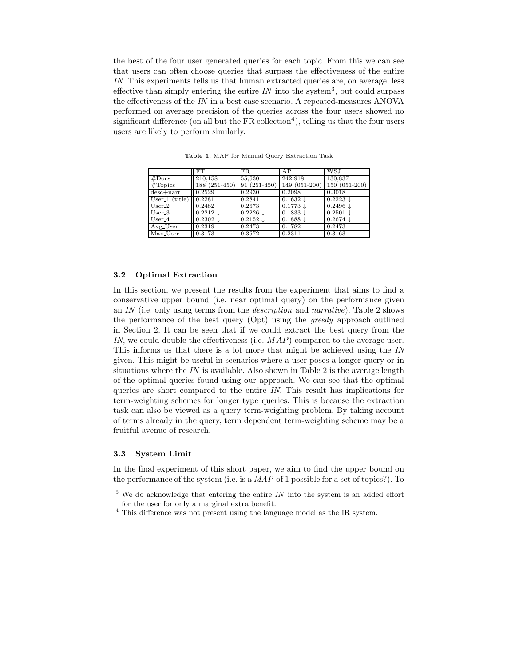the best of the four user generated queries for each topic. From this we can see that users can often choose queries that surpass the effectiveness of the entire IN. This experiments tells us that human extracted queries are, on average, less effective than simply entering the entire  $IN$  into the system<sup>3</sup>, but could surpass the effectiveness of the IN in a best case scenario. A repeated-measures ANOVA performed on average precision of the queries across the four users showed no significant difference (on all but the  $FR$  collection<sup>4</sup>), telling us that the four users users are likely to perform similarly.

|                                   | FT                  | FR                  | AP                  | WSJ                 |
|-----------------------------------|---------------------|---------------------|---------------------|---------------------|
| #Docs                             | 210,158             | 55,630              | 242,918             | 130,837             |
| $# \nTopics$                      | 188 (251-450)       | $91(251-450)$       | $149(051-200)$      | 150 (051-200)       |
| $desc + narr$                     | 0.2529              | 0.2930              | 0.2098              | 0.3018              |
| User $\overline{1$ (title) 0.2281 |                     | 0.2841              | $0.1632 \downarrow$ | $0.2223 \downarrow$ |
| $User_2$                          | 0.2482              | 0.2673              | $0.1773 \downarrow$ | $0.2496 \downarrow$ |
| $User_3$                          | $0.2212 \downarrow$ | $0.2226 \downarrow$ | $0.1833 \downarrow$ | $0.2501 \downarrow$ |
| $User_4$                          | $0.2302 \downarrow$ | $0.2152 \downarrow$ | $0.1888 \downarrow$ | $0.2674 \downarrow$ |
| Avg_User                          | 0.2319              | 0.2473              | 0.1782              | 0.2473              |
| Max User                          | 0.3173              | 0.3572              | 0.2311              | 0.3163              |

Table 1. MAP for Manual Query Extraction Task

#### 3.2 Optimal Extraction

In this section, we present the results from the experiment that aims to find a conservative upper bound (i.e. near optimal query) on the performance given an IN (i.e. only using terms from the description and narrative). Table 2 shows the performance of the best query (Opt) using the greedy approach outlined in Section 2. It can be seen that if we could extract the best query from the IN, we could double the effectiveness (i.e.  $MAP$ ) compared to the average user. This informs us that there is a lot more that might be achieved using the IN given. This might be useful in scenarios where a user poses a longer query or in situations where the  $IN$  is available. Also shown in Table 2 is the average length of the optimal queries found using our approach. We can see that the optimal queries are short compared to the entire IN. This result has implications for term-weighting schemes for longer type queries. This is because the extraction task can also be viewed as a query term-weighting problem. By taking account of terms already in the query, term dependent term-weighting scheme may be a fruitful avenue of research.

#### 3.3 System Limit

In the final experiment of this short paper, we aim to find the upper bound on the performance of the system (i.e. is a  $MAP$  of 1 possible for a set of topics?). To

<sup>&</sup>lt;sup>3</sup> We do acknowledge that entering the entire  $IN$  into the system is an added effort for the user for only a marginal extra benefit.

 $4$  This difference was not present using the language model as the IR system.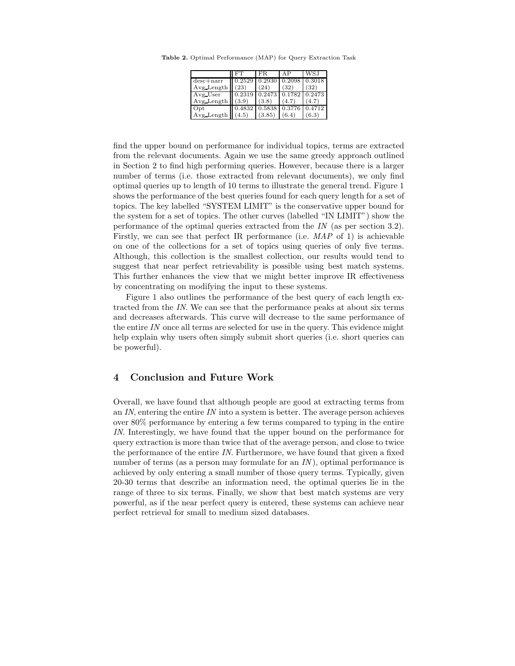FT FR AP WSJ desc+narr 0.2529 0.2930 0.2098 0.3018

Table 2. Optimal Performance (MAP) for Query Extraction Task

|                         | . .                                           | гn.    | AT                                        | VV OJ |
|-------------------------|-----------------------------------------------|--------|-------------------------------------------|-------|
| $desc + narr$           | $\parallel$ 0.2529   0.2930   0.2098   0.3018 |        |                                           |       |
| $Avg\_Length \mid (23)$ |                                               | (24)   | (32)                                      | (32)  |
| Avg User                | $\mid$ 0.2319   0.2473   0.1782   0.2473      |        |                                           |       |
| Avg Length $(3.9)$      |                                               | (3.8)  | (4.7)                                     | (4.7) |
| Opt                     |                                               |        | $0.4832$   $0.5838$   $0.3776$   $0.4712$ |       |
| Avg Length $(4.5)$      |                                               | (3.85) | (6.4)                                     | (6.3) |

find the upper bound on performance for individual topics, terms are extracted from the relevant documents. Again we use the same greedy approach outlined in Section 2 to find high performing queries. However, because there is a larger number of terms (i.e. those extracted from relevant documents), we only find optimal queries up to length of 10 terms to illustrate the general trend. Figure 1 shows the performance of the best queries found for each query length for a set of topics. The key labelled "SYSTEM LIMIT" is the conservative upper bound for the system for a set of topics. The other curves (labelled "IN LIMIT") show the performance of the optimal queries extracted from the IN (as per section 3.2). Firstly, we can see that perfect IR performance (i.e. MAP of 1) is achievable on one of the collections for a set of topics using queries of only five terms. Although, this collection is the smallest collection, our results would tend to suggest that near perfect retrievability is possible using best match systems. This further enhances the view that we might better improve IR effectiveness by concentrating on modifying the input to these systems.

Figure 1 also outlines the performance of the best query of each length extracted from the IN. We can see that the performance peaks at about six terms and decreases afterwards. This curve will decrease to the same performance of the entire  $IN$  once all terms are selected for use in the query. This evidence might help explain why users often simply submit short queries (i.e. short queries can be powerful).

# 4 Conclusion and Future Work

Overall, we have found that although people are good at extracting terms from an IN, entering the entire IN into a system is better. The average person achieves over 80% performance by entering a few terms compared to typing in the entire IN. Interestingly, we have found that the upper bound on the performance for query extraction is more than twice that of the average person, and close to twice the performance of the entire IN. Furthermore, we have found that given a fixed number of terms (as a person may formulate for an  $IN$ ), optimal performance is achieved by only entering a small number of those query terms. Typically, given 20-30 terms that describe an information need, the optimal queries lie in the range of three to six terms. Finally, we show that best match systems are very powerful, as if the near perfect query is entered, these systems can achieve near perfect retrieval for small to medium sized databases.